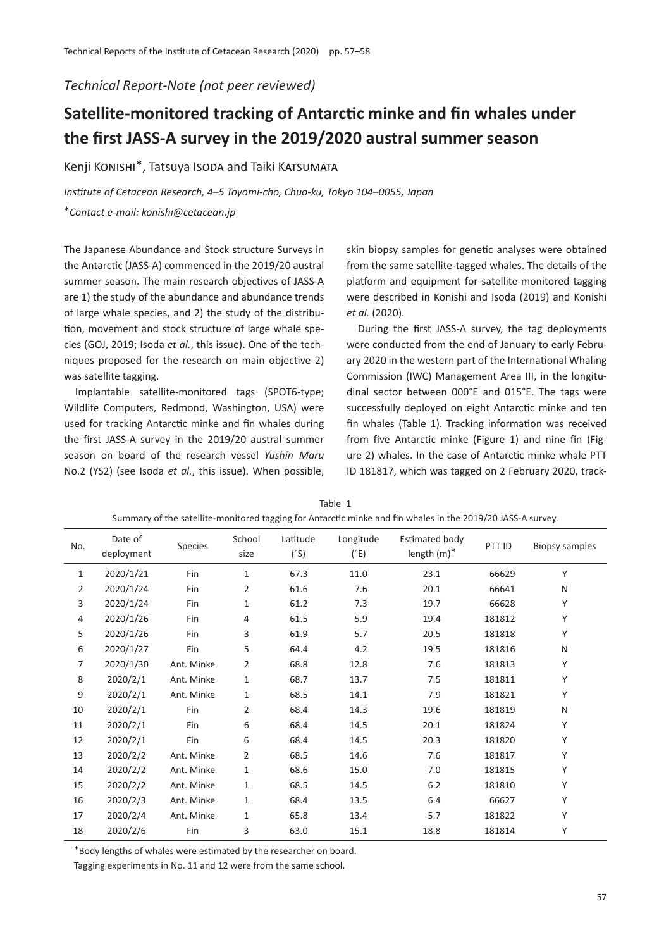*Technical Report-Note (not peer reviewed)*

## **Satellite-monitored tracking of Antarc�c minke and fin whales under the first JASS-A survey in the 2019/2020 austral summer season**

Kenji Konishi\*, Tatsuya Isoda and Taiki Katsumata

*Institute of Cetacean Research, 4*–*5 Toyomi-cho, Chuo-ku, Tokyo 104*–*0055, Japan*

\**Contact e-mail: konishi@cetacean.jp*

The Japanese Abundance and Stock structure Surveys in the Antarc�c (JASS-A) commenced in the 2019/20 austral summer season. The main research objectives of JASS-A are 1) the study of the abundance and abundance trends of large whale species, and 2) the study of the distribu tion, movement and stock structure of large whale species (GOJ, 2019; Isoda *et al.*, this issue). One of the techniques proposed for the research on main objective 2) was satellite tagging.

Implantable satellite-monitored tags (SPOT6-type; Wildlife Computers, Redmond, Washington, USA) were used for tracking Antarctic minke and fin whales during the first JASS-A survey in the 2019/20 austral summer season on board of the research vessel *Yushin Maru* No.2 (YS2) (see Isoda *et al.*, this issue). When possible,

skin biopsy samples for genetic analyses were obtained from the same satellite-tagged whales. The details of the platform and equipment for satellite-monitored tagging were described in Konishi and Isoda (2019) and Konishi *et al.* (2020).

During the first JASS-A survey, the tag deployments were conducted from the end of January to early February 2020 in the western part of the International Whaling Commission (IWC) Management Area III, in the longitudinal sector between 000°E and 015°E. The tags were successfully deployed on eight Antarctic minke and ten fin whales (Table 1). Tracking information was received from five Antarctic minke (Figure 1) and nine fin (Figure 2) whales. In the case of Antarc�c minke whale PTT ID 181817, which was tagged on 2 February 2020, track-

| No.          | Date of<br>deployment | Species    | School<br>size | Latitude<br>(°S) | Longitude<br>(°E) | Estimated body<br>length $(m)^*$ | PTT ID | <b>Biopsy samples</b> |
|--------------|-----------------------|------------|----------------|------------------|-------------------|----------------------------------|--------|-----------------------|
| $\mathbf{1}$ | 2020/1/21             | Fin        | 1              | 67.3             | 11.0              | 23.1                             | 66629  | Υ                     |
| 2            | 2020/1/24             | Fin        | $\overline{2}$ | 61.6             | 7.6               | 20.1                             | 66641  | N                     |
| 3            | 2020/1/24             | Fin        | 1              | 61.2             | 7.3               | 19.7                             | 66628  | Υ                     |
| 4            | 2020/1/26             | Fin        | 4              | 61.5             | 5.9               | 19.4                             | 181812 | Υ                     |
| 5            | 2020/1/26             | Fin        | 3              | 61.9             | 5.7               | 20.5                             | 181818 | Υ                     |
| 6            | 2020/1/27             | Fin        | 5              | 64.4             | 4.2               | 19.5                             | 181816 | N                     |
| 7            | 2020/1/30             | Ant. Minke | $\overline{2}$ | 68.8             | 12.8              | 7.6                              | 181813 | Υ                     |
| 8            | 2020/2/1              | Ant. Minke | $\mathbf{1}$   | 68.7             | 13.7              | 7.5                              | 181811 | Υ                     |
| 9            | 2020/2/1              | Ant. Minke | 1              | 68.5             | 14.1              | 7.9                              | 181821 | Υ                     |
| 10           | 2020/2/1              | Fin        | 2              | 68.4             | 14.3              | 19.6                             | 181819 | N                     |
| 11           | 2020/2/1              | Fin        | 6              | 68.4             | 14.5              | 20.1                             | 181824 | Υ                     |
| 12           | 2020/2/1              | Fin        | 6              | 68.4             | 14.5              | 20.3                             | 181820 | Υ                     |
| 13           | 2020/2/2              | Ant. Minke | $\overline{2}$ | 68.5             | 14.6              | 7.6                              | 181817 | Υ                     |
| 14           | 2020/2/2              | Ant. Minke | 1              | 68.6             | 15.0              | 7.0                              | 181815 | Υ                     |
| 15           | 2020/2/2              | Ant. Minke | 1              | 68.5             | 14.5              | 6.2                              | 181810 | Υ                     |
| 16           | 2020/2/3              | Ant. Minke | 1              | 68.4             | 13.5              | 6.4                              | 66627  | Υ                     |
| 17           | 2020/2/4              | Ant. Minke | 1              | 65.8             | 13.4              | 5.7                              | 181822 | Υ                     |
| 18           | 2020/2/6              | Fin        | 3              | 63.0             | 15.1              | 18.8                             | 181814 | Υ                     |

Table 1 Summary of the satellite-monitored tagging for Antarc�c minke and fin whales in the 2019/20 JASS-A survey.

\*Body lengths of whales were es�mated by the researcher on board.

Tagging experiments in No. 11 and 12 were from the same school.